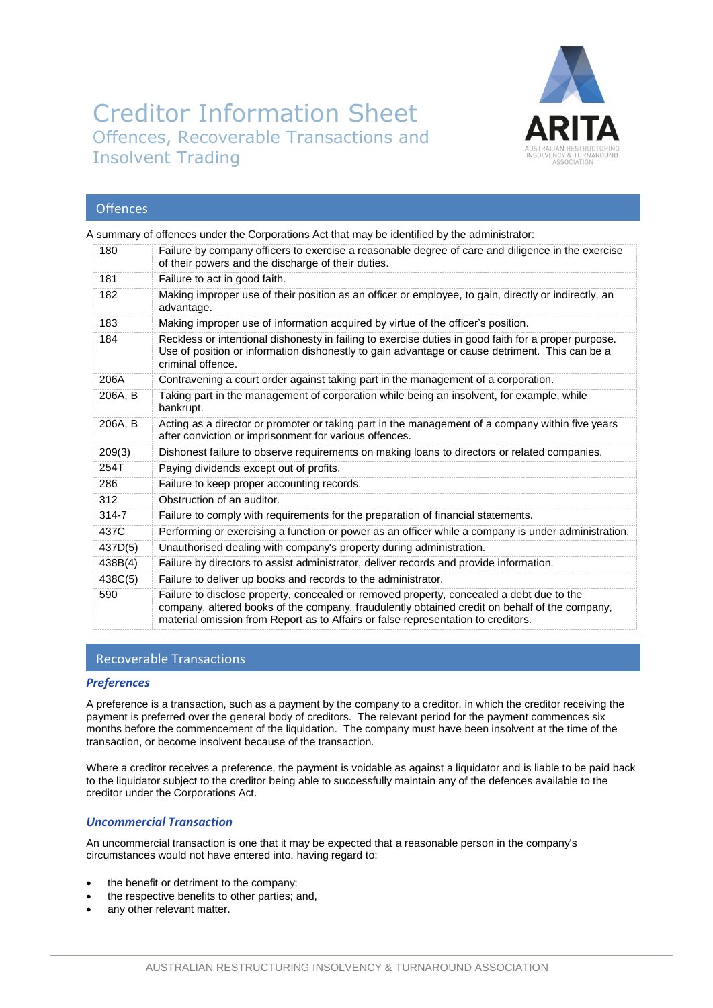

# Creditor Information Sheet Offences, Recoverable Transactions and Insolvent Trading

## **Offences**

A summary of offences under the Corporations Act that may be identified by the administrator:

| 180     | Failure by company officers to exercise a reasonable degree of care and diligence in the exercise<br>of their powers and the discharge of their duties.                                                                                                                        |
|---------|--------------------------------------------------------------------------------------------------------------------------------------------------------------------------------------------------------------------------------------------------------------------------------|
| 181     | Failure to act in good faith.                                                                                                                                                                                                                                                  |
| 182     | Making improper use of their position as an officer or employee, to gain, directly or indirectly, an<br>advantage.                                                                                                                                                             |
| 183     | Making improper use of information acquired by virtue of the officer's position.                                                                                                                                                                                               |
| 184     | Reckless or intentional dishonesty in failing to exercise duties in good faith for a proper purpose.<br>Use of position or information dishonestly to gain advantage or cause detriment. This can be a<br>criminal offence.                                                    |
| 206A    | Contravening a court order against taking part in the management of a corporation.                                                                                                                                                                                             |
| 206A, B | Taking part in the management of corporation while being an insolvent, for example, while<br>bankrupt.                                                                                                                                                                         |
| 206A, B | Acting as a director or promoter or taking part in the management of a company within five years<br>after conviction or imprisonment for various offences.                                                                                                                     |
| 209(3)  | Dishonest failure to observe requirements on making loans to directors or related companies.                                                                                                                                                                                   |
| 254T    | Paying dividends except out of profits.                                                                                                                                                                                                                                        |
| 286     | Failure to keep proper accounting records.                                                                                                                                                                                                                                     |
| 312     | Obstruction of an auditor.                                                                                                                                                                                                                                                     |
| 314-7   | Failure to comply with requirements for the preparation of financial statements.                                                                                                                                                                                               |
| 437C    | Performing or exercising a function or power as an officer while a company is under administration.                                                                                                                                                                            |
| 437D(5) | Unauthorised dealing with company's property during administration.                                                                                                                                                                                                            |
| 438B(4) | Failure by directors to assist administrator, deliver records and provide information.                                                                                                                                                                                         |
| 438C(5) | Failure to deliver up books and records to the administrator.                                                                                                                                                                                                                  |
| 590     | Failure to disclose property, concealed or removed property, concealed a debt due to the<br>company, altered books of the company, fraudulently obtained credit on behalf of the company,<br>material omission from Report as to Affairs or false representation to creditors. |

## Recoverable Transactions

#### *Preferences*

A preference is a transaction, such as a payment by the company to a creditor, in which the creditor receiving the payment is preferred over the general body of creditors. The relevant period for the payment commences six months before the commencement of the liquidation. The company must have been insolvent at the time of the transaction, or become insolvent because of the transaction.

Where a creditor receives a preference, the payment is voidable as against a liquidator and is liable to be paid back to the liquidator subject to the creditor being able to successfully maintain any of the defences available to the creditor under the Corporations Act.

## *Uncommercial Transaction*

An uncommercial transaction is one that it may be expected that a reasonable person in the company's circumstances would not have entered into, having regard to:

- the benefit or detriment to the company;
- the respective benefits to other parties; and,
- any other relevant matter.